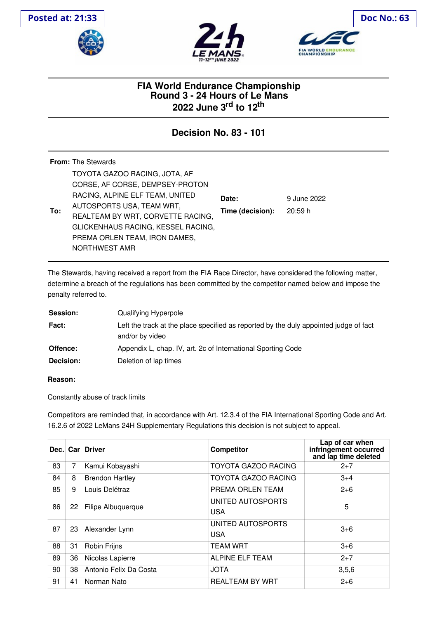





## **FIA World Endurance Championship Round 3 - 24 Hours of Le Mans 2022 June 3 rd to 12 th**

## **Decision No. 83 - 101**

|     | <b>From:</b> The Stewards                                                                                                                                                                                                                                     |                           |                       |
|-----|---------------------------------------------------------------------------------------------------------------------------------------------------------------------------------------------------------------------------------------------------------------|---------------------------|-----------------------|
| To: | TOYOTA GAZOO RACING, JOTA, AF<br>CORSE, AF CORSE, DEMPSEY-PROTON<br>RACING, ALPINE ELF TEAM, UNITED<br>AUTOSPORTS USA, TEAM WRT,<br>REALTEAM BY WRT, CORVETTE RACING,<br>GLICKENHAUS RACING, KESSEL RACING,<br>PREMA ORLEN TEAM, IRON DAMES,<br>NORTHWEST AMR | Date:<br>Time (decision): | 9 June 2022<br>20:59h |

The Stewards, having received a report from the FIA Race Director, have considered the following matter, determine a breach of the regulations has been committed by the competitor named below and impose the penalty referred to.

| Session:         | Qualifying Hyperpole                                                                                     |
|------------------|----------------------------------------------------------------------------------------------------------|
| Fact:            | Left the track at the place specified as reported by the duly appointed judge of fact<br>and/or by video |
| Offence:         | Appendix L, chap. IV, art. 2c of International Sporting Code                                             |
| <b>Decision:</b> | Deletion of lap times                                                                                    |

## **Reason:**

Constantly abuse of track limits

Competitors are reminded that, in accordance with Art. 12.3.4 of the FIA International Sporting Code and Art. 16.2.6 of 2022 LeMans 24H Supplementary Regulations this decision is not subject to appeal.

| Dec. |    | Car Driver             | <b>Competitor</b>               | Lap of car when<br>infringement occurred<br>and lap time deleted |
|------|----|------------------------|---------------------------------|------------------------------------------------------------------|
| 83   | 7  | Kamui Kobayashi        | <b>TOYOTA GAZOO RACING</b>      | $2+7$                                                            |
| 84   | 8  | <b>Brendon Hartley</b> | <b>TOYOTA GAZOO RACING</b>      | $3+4$                                                            |
| 85   | 9  | Louis Delétraz         | PREMA ORLEN TEAM                | $2 + 6$                                                          |
| 86   | 22 | Filipe Albuquerque     | UNITED AUTOSPORTS<br><b>USA</b> | 5                                                                |
| 87   | 23 | Alexander Lynn         | UNITED AUTOSPORTS<br><b>USA</b> | $3+6$                                                            |
| 88   | 31 | Robin Frijns           | <b>TEAM WRT</b>                 | $3 + 6$                                                          |
| 89   | 36 | Nicolas Lapierre       | ALPINE ELF TEAM                 | $2+7$                                                            |
| 90   | 38 | Antonio Felix Da Costa | <b>JOTA</b>                     | 3,5,6                                                            |
| 91   | 41 | Norman Nato            | <b>REALTEAM BY WRT</b>          | $2 + 6$                                                          |